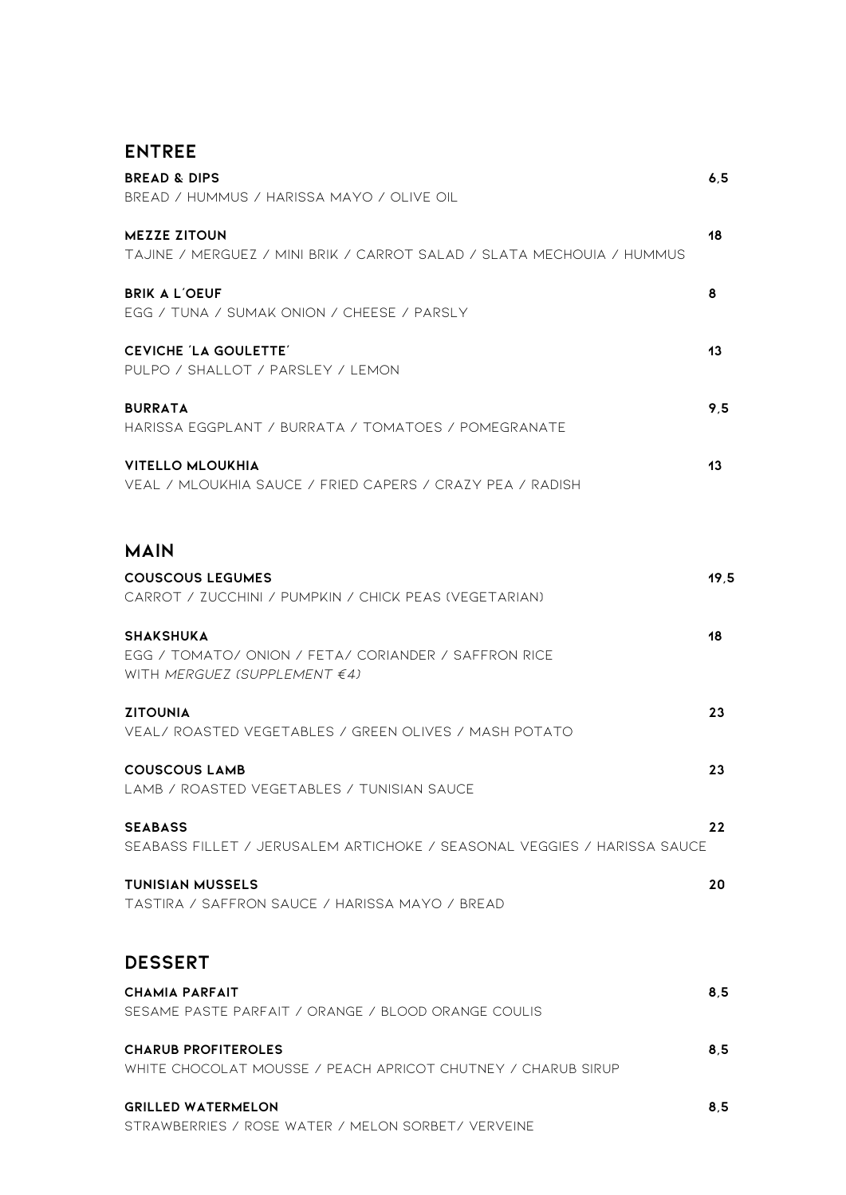| N٦ | <b>TRE</b> |  |
|----|------------|--|
|----|------------|--|

| <b>BREAD &amp; DIPS</b><br>BREAD / HUMMUS / HARISSA MAYO / OLIVE OIL                                          | 6, 5 |
|---------------------------------------------------------------------------------------------------------------|------|
| <b>MEZZE ZITOUN</b><br>TAJINE / MERGUEZ / MINI BRIK / CARROT SALAD / SLATA MECHOUIA / HUMMUS                  | 18   |
| <b>BRIK A L'OEUF</b><br>EGG / TUNA / SUMAK ONION / CHEESE / PARSLY                                            | 8    |
| <b>CEVICHE 'LA GOULETTE'</b><br>PULPO / SHALLOT / PARSLEY / LEMON                                             | 13   |
| <b>BURRATA</b><br>HARISSA EGGPLANT / BURRATA / TOMATOES / POMEGRANATE                                         | 9.5  |
| <b>VITELLO MLOUKHIA</b><br>VEAL / MLOUKHIA SAUCE / FRIED CAPERS / CRAZY PEA / RADISH                          | 13   |
| <b>MAIN</b>                                                                                                   |      |
| <b>COUSCOUS LEGUMES</b><br>CARROT / ZUCCHINI / PUMPKIN / CHICK PEAS (VEGETARIAN)                              | 19.5 |
| <b>SHAKSHUKA</b><br>EGG / TOMATO/ ONION / FETA/ CORIANDER / SAFFRON RICE<br>WITH MERGUEZ (SUPPLEMENT $\in$ 4) | 18   |
| <b>ZITOUNIA</b><br>VEAL/ ROASTED VEGETABLES / GREEN OLIVES / MASH POTATO                                      | 23   |
| <b>COUSCOUS LAMB</b><br>LAMB / ROASTED VEGETABLES / TUNISIAN SAUCE                                            | 23   |
| <b>SEABASS</b><br>SEABASS FILLET / JERUSALEM ARTICHOKE / SEASONAL VEGGIES / HARISSA SAUCE                     | 22   |
| <b>TUNISIAN MUSSELS</b><br>TASTIRA / SAFFRON SAUCE / HARISSA MAYO / BREAD                                     | 20   |
| <b>DESSERT</b>                                                                                                |      |
| <b>CHAMIA PARFAIT</b><br>SESAME PASTE PARFAIT / ORANGE / BLOOD ORANGE COULIS                                  | 8.5  |
| <b>CHARUB PROFITEROLES</b><br>WHITE CHOCOLAT MOUSSE / PEACH APRICOT CHUTNEY / CHARUB SIRUP                    | 8.5  |
| <b>GRILLED WATERMELON</b><br>STRAWBERRIES / ROSE WATER / MELON SORBET/ VERVEINE                               | 8.5  |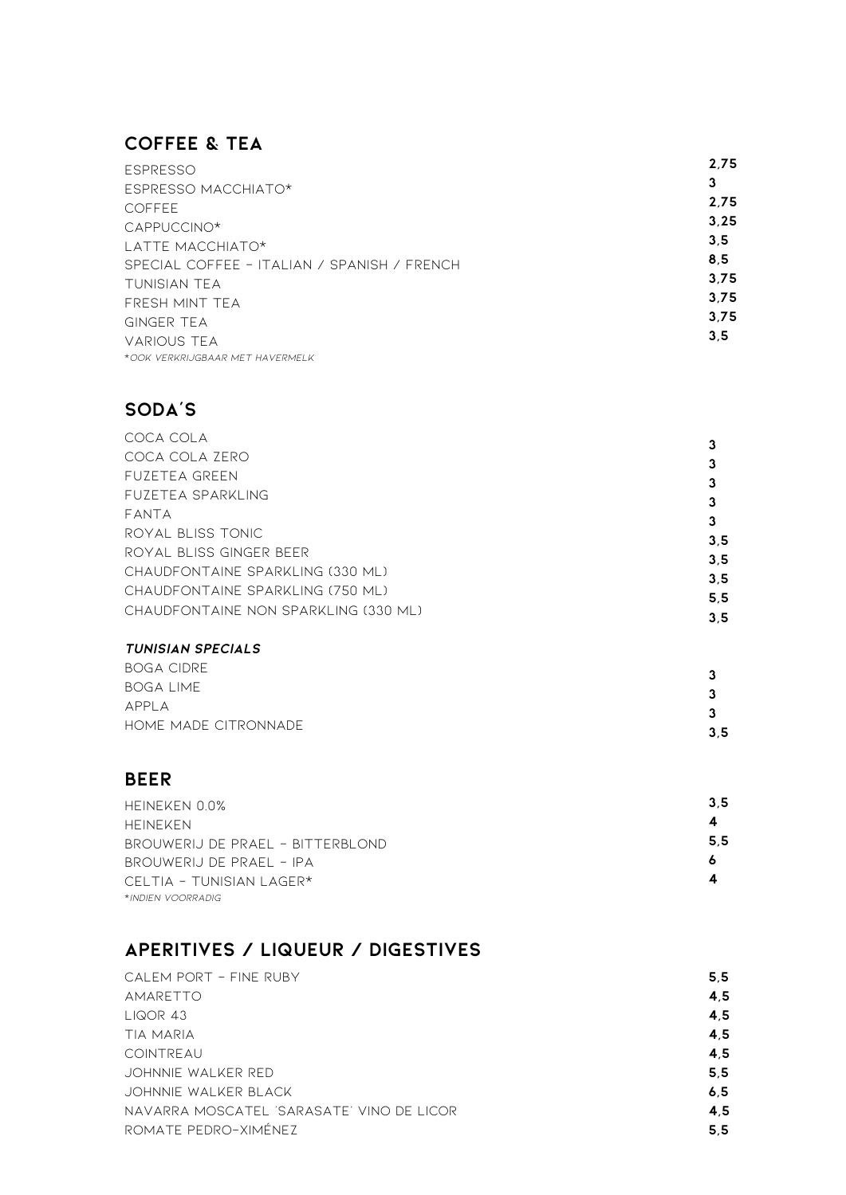# $\overline{C}$  **c d c e f e e e f e e f e e f e e f e e f e e f e e f e e f e e f e e f e e f e e f e e f e e f e e f e e**

| <b>ESPRESSO</b>                             | 2.75 |
|---------------------------------------------|------|
| ESPRESSO MACCHIATO*                         | 3    |
| <b>COFFEE</b>                               | 2.75 |
| CAPPUCCINO*                                 | 3.25 |
| LATTE MACCHIATO*                            | 3.5  |
| SPECIAL COFFEE - ITALIAN / SPANISH / FRENCH | 8.5  |
| TUNISIAN TEA                                | 3.75 |
| FRESH MINT TEA                              | 3.75 |
| <b>GINGER TEA</b>                           | 3.75 |
| <b>VARIOUS TEA</b>                          | 3.5  |
| *OOK VERKRIJGBAAR MET HAVERMELK             |      |

## **s o d a 's**

| COCA COLA                            |     |
|--------------------------------------|-----|
| COCA COLA ZERO                       |     |
| <b>FUZETEA GREEN</b>                 |     |
| FUZETEA SPARKLING                    |     |
| FANTA                                | 3   |
| ROYAL BLISS TONIC                    | 3.5 |
| ROYAL BLISS GINGER BEER              |     |
| CHAUDFONTAINE SPARKLING (330 ML)     | 3.5 |
| CHAUDFONTAINE SPARKLING (750 ML)     | 3.5 |
| CHAUDFONTAINE NON SPARKLING (330 ML) | 5.5 |
|                                      | 3.5 |

#### **i b l n c** *<b>n* **c** *<b>n* **c** *<b>n* **c** *n* **c** *<b>n* **c** *n* **c** *n* **c** *n* **c c n c n c n c n c n c n c n c n c n c n c n c n c n c n c n**

| <b>BOGA CIDRE</b>    |     |
|----------------------|-----|
| <b>BOGA LIME</b>     |     |
| APPLA                |     |
| HOME MADE CITRONNADE | 3.5 |

### **b e e r**

| HEINEKEN 0.0%                     | 3.5 |
|-----------------------------------|-----|
| <b>HEINEKEN</b>                   | 4   |
| BROUWERIJ DE PRAEL - BITTERBLOND  | 5.5 |
| BROUWERIJ DE PRAEL - IPA          | 6   |
| CELTIA - TUNISIAN LAGER*          | 4   |
| *INDIFN VOORRADIG                 |     |
| APERITIVES / LIQUEUR / DIGESTIVES |     |
| CALEM PORT - FINE RUBY            | 5.5 |

## **aPERITIVES / LIQUEUR / DIGESTIVES**

| CALEM PORT - FINE RUBY                    | 5.5 |
|-------------------------------------------|-----|
| AMARETTO                                  | 4.5 |
| L I QOR 43                                | 4.5 |
| TIA MARIA                                 | 4,5 |
| COINTREAU                                 | 4.5 |
| JOHNNIE WALKER RED                        | 5.5 |
| JOHNNIE WALKER BLACK                      | 6.5 |
| NAVARRA MOSCATEL 'SARASATE' VINO DE LICOR | 4.5 |
| ROMATE PEDRO-XIMÉNEZ                      | 5.5 |
|                                           |     |